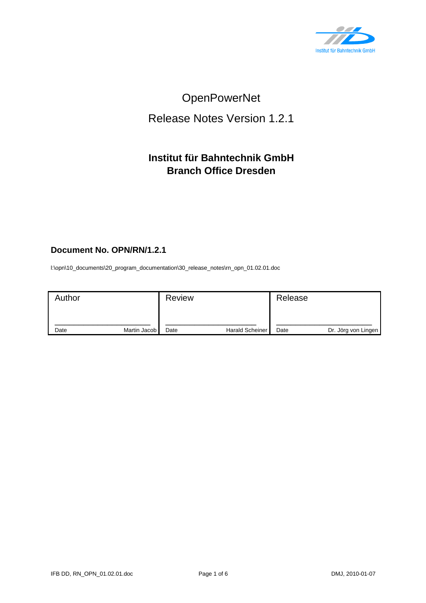

# OpenPowerNet

# Release Notes Version 1.2.1

## **Institut für Bahntechnik GmbH Branch Office Dresden**

### **Document No. OPN/RN/1.2.1**

l:\opn\10\_documents\20\_program\_documentation\30\_release\_notes\rn\_opn\_01.02.01.doc

| Author |              | <b>Review</b> |                        | Release |                     |
|--------|--------------|---------------|------------------------|---------|---------------------|
| Date   | Martin Jacob | Date          | <b>Harald Scheiner</b> | Date    | Dr. Jörg von Lingen |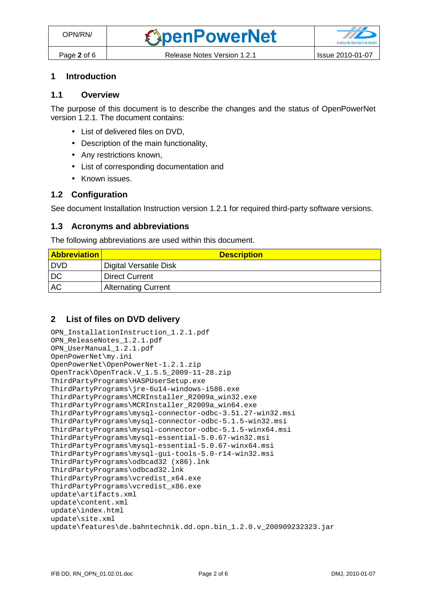## **1 Introduction**

#### **1.1 Overview**

The purpose of this document is to describe the changes and the status of OpenPowerNet version 1.2.1. The document contains:

- List of delivered files on DVD,
- Description of the main functionality,
- Any restrictions known,
- List of corresponding documentation and
- Known issues.

#### **1.2 Configuration**

See document Installation Instruction version 1.2.1 for required third-party software versions.

#### **1.3 Acronyms and abbreviations**

The following abbreviations are used within this document.

| <b>Abbreviation</b> | <b>Description</b>         |
|---------------------|----------------------------|
| I DVD               | Digital Versatile Disk     |
| DC                  | <b>Direct Current</b>      |
| <b>AC</b>           | <b>Alternating Current</b> |

#### **2 List of files on DVD delivery**

```
OPN_InstallationInstruction_1.2.1.pdf 
OPN_ReleaseNotes_1.2.1.pdf 
OPN_UserManual_1.2.1.pdf 
OpenPowerNet\my.ini 
OpenPowerNet\OpenPowerNet-1.2.1.zip 
OpenTrack\OpenTrack.V_1.5.5_2009-11-28.zip 
ThirdPartyPrograms\HASPUserSetup.exe 
ThirdPartyPrograms\jre-6u14-windows-i586.exe 
ThirdPartyPrograms\MCRInstaller_R2009a_win32.exe 
ThirdPartyPrograms\MCRInstaller_R2009a_win64.exe 
ThirdPartyPrograms\mysql-connector-odbc-3.51.27-win32.msi 
ThirdPartyPrograms\mysql-connector-odbc-5.1.5-win32.msi 
ThirdPartyPrograms\mysql-connector-odbc-5.1.5-winx64.msi 
ThirdPartyPrograms\mysql-essential-5.0.67-win32.msi
ThirdPartyPrograms\mysql-essential-5.0.67-winx64.msi 
ThirdPartyPrograms\mysql-gui-tools-5.0-r14-win32.msi 
ThirdPartyPrograms\odbcad32 (x86).lnk 
ThirdPartyPrograms\odbcad32.lnk 
ThirdPartyPrograms\vcredist_x64.exe 
ThirdPartyPrograms\vcredist_x86.exe 
update\artifacts.xml 
update\content.xml 
update\index.html 
update\site.xml 
update\features\de.bahntechnik.dd.opn.bin 1.2.0.v 200909232323.jar
```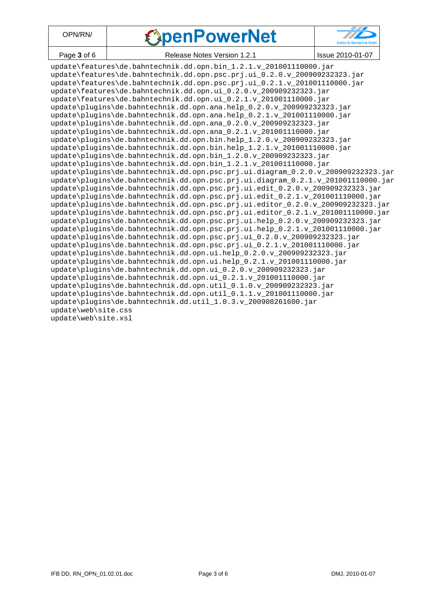| OPN/RN/     | <b><i><u>SpenPowerNet</u></i></b> | <b>TID</b><br>Institut für Bahntechnik GmbH |
|-------------|-----------------------------------|---------------------------------------------|
| Page 3 of 6 | Release Notes Version 1.2.1       | Issue 2010-01-07                            |

| Page 3 of 6                                                    | Release Notes Version 1.2.1                                                      | Issue 2010-01-07 |  |
|----------------------------------------------------------------|----------------------------------------------------------------------------------|------------------|--|
|                                                                | update\features\de.bahntechnik.dd.opn.bin_1.2.1.v_201001110000.jar               |                  |  |
|                                                                | update\features\de.bahntechnik.dd.opn.psc.prj.ui_0.2.0.v_200909232323.jar        |                  |  |
|                                                                | update\features\de.bahntechnik.dd.opn.psc.prj.ui_0.2.1.v_201001110000.jar        |                  |  |
|                                                                | update\features\de.bahntechnik.dd.opn.ui_0.2.0.v_200909232323.jar                |                  |  |
|                                                                | update\features\de.bahntechnik.dd.opn.ui_0.2.1.v_201001110000.jar                |                  |  |
|                                                                | update\plugins\de.bahntechnik.dd.opn.ana.help_0.2.0.v_200909232323.jar           |                  |  |
|                                                                | update\plugins\de.bahntechnik.dd.opn.ana.help_0.2.1.v_201001110000.jar           |                  |  |
|                                                                | update\plugins\de.bahntechnik.dd.opn.ana_0.2.0.v_200909232323.jar                |                  |  |
|                                                                | update\plugins\de.bahntechnik.dd.opn.ana_0.2.1.v_201001110000.jar                |                  |  |
|                                                                | update\plugins\de.bahntechnik.dd.opn.bin.help_1.2.0.v_200909232323.jar           |                  |  |
|                                                                | update\plugins\de.bahntechnik.dd.opn.bin.help_1.2.1.v_201001110000.jar           |                  |  |
|                                                                | update\plugins\de.bahntechnik.dd.opn.bin_1.2.0.v_200909232323.jar                |                  |  |
|                                                                | update\plugins\de.bahntechnik.dd.opn.bin_1.2.1.v_201001110000.jar                |                  |  |
|                                                                | update\plugins\de.bahntechnik.dd.opn.psc.prj.ui.diagram_0.2.0.v_200909232323.jar |                  |  |
|                                                                | update\plugins\de.bahntechnik.dd.opn.psc.prj.ui.diagram_0.2.1.v_201001110000.jar |                  |  |
|                                                                | update\plugins\de.bahntechnik.dd.opn.psc.prj.ui.edit_0.2.0.v_200909232323.jar    |                  |  |
|                                                                | update\plugins\de.bahntechnik.dd.opn.psc.prj.ui.edit_0.2.1.v_201001110000.jar    |                  |  |
|                                                                | update\plugins\de.bahntechnik.dd.opn.psc.prj.ui.editor_0.2.0.v_200909232323.jar  |                  |  |
|                                                                | update\plugins\de.bahntechnik.dd.opn.psc.prj.ui.editor_0.2.1.v_201001110000.jar  |                  |  |
|                                                                | update\plugins\de.bahntechnik.dd.opn.psc.prj.ui.help_0.2.0.v_200909232323.jar    |                  |  |
|                                                                | update\plugins\de.bahntechnik.dd.opn.psc.prj.ui.help_0.2.1.v_201001110000.jar    |                  |  |
|                                                                | update\plugins\de.bahntechnik.dd.opn.psc.prj.ui_0.2.0.v_200909232323.jar         |                  |  |
|                                                                | update\plugins\de.bahntechnik.dd.opn.psc.prj.ui_0.2.1.v_201001110000.jar         |                  |  |
|                                                                | update\plugins\de.bahntechnik.dd.opn.ui.help_0.2.0.v_200909232323.jar            |                  |  |
|                                                                | update\plugins\de.bahntechnik.dd.opn.ui.help_0.2.1.v_201001110000.jar            |                  |  |
|                                                                | update\plugins\de.bahntechnik.dd.opn.ui_0.2.0.v_200909232323.jar                 |                  |  |
|                                                                | update\plugins\de.bahntechnik.dd.opn.ui_0.2.1.v_201001110000.jar                 |                  |  |
|                                                                | update\plugins\de.bahntechnik.dd.opn.util_0.1.0.v_200909232323.jar               |                  |  |
|                                                                | update\plugins\de.bahntechnik.dd.opn.util_0.1.1.v_201001110000.jar               |                  |  |
| update\plugins\de.bahntechnik.dd.util_1.0.3.v_200908261600.jar |                                                                                  |                  |  |
| update\web\site.css                                            |                                                                                  |                  |  |
| update\web\site.xsl                                            |                                                                                  |                  |  |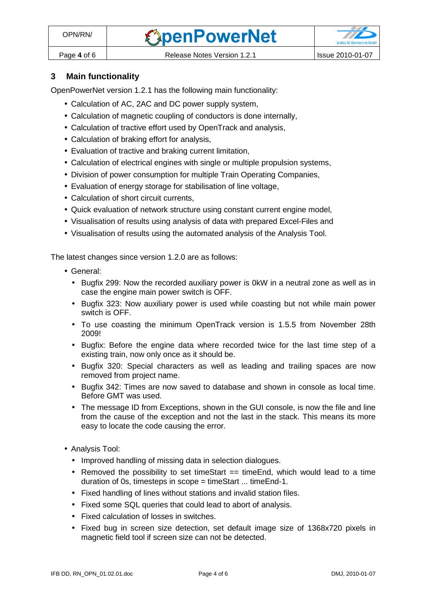#### **3 Main functionality**

OpenPowerNet version 1.2.1 has the following main functionality:

- Calculation of AC, 2AC and DC power supply system,
- Calculation of magnetic coupling of conductors is done internally,
- Calculation of tractive effort used by OpenTrack and analysis,
- Calculation of braking effort for analysis,
- Evaluation of tractive and braking current limitation,
- Calculation of electrical engines with single or multiple propulsion systems,
- Division of power consumption for multiple Train Operating Companies,
- Evaluation of energy storage for stabilisation of line voltage,
- Calculation of short circuit currents,
- Quick evaluation of network structure using constant current engine model,
- Visualisation of results using analysis of data with prepared Excel-Files and
- Visualisation of results using the automated analysis of the Analysis Tool.

The latest changes since version 1.2.0 are as follows:

- General:
	- Bugfix 299: Now the recorded auxiliary power is 0kW in a neutral zone as well as in case the engine main power switch is OFF.
	- Bugfix 323: Now auxiliary power is used while coasting but not while main power switch is OFF.
	- To use coasting the minimum OpenTrack version is 1.5.5 from November 28th 2009!
	- Bugfix: Before the engine data where recorded twice for the last time step of a existing train, now only once as it should be.
	- Bugfix 320: Special characters as well as leading and trailing spaces are now removed from project name.
	- Bugfix 342: Times are now saved to database and shown in console as local time. Before GMT was used.
	- The message ID from Exceptions, shown in the GUI console, is now the file and line from the cause of the exception and not the last in the stack. This means its more easy to locate the code causing the error.
- Analysis Tool:
	- Improved handling of missing data in selection dialogues.
	- Removed the possibility to set timeStart  $==$  timeEnd, which would lead to a time duration of 0s, timesteps in scope = timeStart ... timeEnd-1.
	- Fixed handling of lines without stations and invalid station files.
	- Fixed some SQL queries that could lead to abort of analysis.
	- Fixed calculation of losses in switches.
	- Fixed bug in screen size detection, set default image size of 1368x720 pixels in magnetic field tool if screen size can not be detected.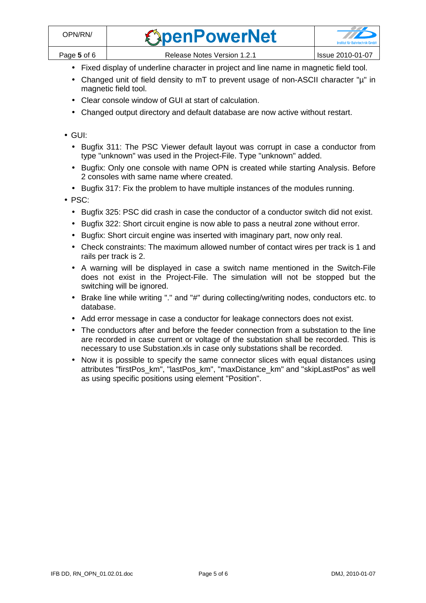| OPN/RN/     | <b><i><u>SpenPowerNet</u></i></b> | <b>Institut für Bahntechnik GmbH</b> |
|-------------|-----------------------------------|--------------------------------------|
| Page 5 of 6 | Release Notes Version 1.2.1       | Issue 2010-01-07                     |

- Fixed display of underline character in project and line name in magnetic field tool.
- Changed unit of field density to mT to prevent usage of non-ASCII character "µ" in magnetic field tool.
- Clear console window of GUI at start of calculation.
- Changed output directory and default database are now active without restart.
- GUI:
	- Bugfix 311: The PSC Viewer default layout was corrupt in case a conductor from type "unknown" was used in the Project-File. Type "unknown" added.
	- Bugfix: Only one console with name OPN is created while starting Analysis. Before 2 consoles with same name where created.
	- Bugfix 317: Fix the problem to have multiple instances of the modules running.
- PSC:
	- Bugfix 325: PSC did crash in case the conductor of a conductor switch did not exist.
	- Bugfix 322: Short circuit engine is now able to pass a neutral zone without error.
	- Bugfix: Short circuit engine was inserted with imaginary part, now only real.
	- Check constraints: The maximum allowed number of contact wires per track is 1 and rails per track is 2.
	- A warning will be displayed in case a switch name mentioned in the Switch-File does not exist in the Project-File. The simulation will not be stopped but the switching will be ignored.
	- Brake line while writing "." and "#" during collecting/writing nodes, conductors etc. to database.
	- Add error message in case a conductor for leakage connectors does not exist.
	- The conductors after and before the feeder connection from a substation to the line are recorded in case current or voltage of the substation shall be recorded. This is necessary to use Substation.xls in case only substations shall be recorded.
	- Now it is possible to specify the same connector slices with equal distances using attributes "firstPos\_km", "lastPos\_km", "maxDistance\_km" and "skipLastPos" as well as using specific positions using element "Position".